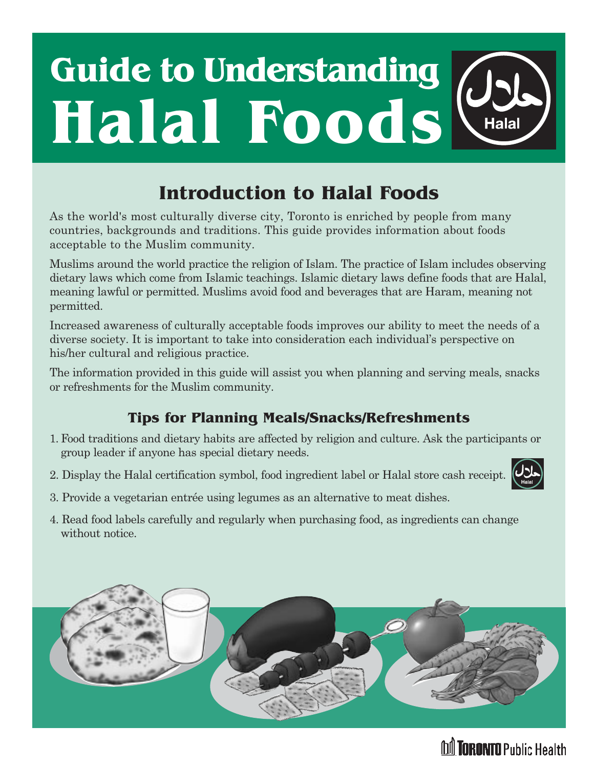# **Guide to Understanding Halal Foods** $Hala$

## **Introduction to Halal Foods**

As the world's most culturally diverse city, Toronto is enriched by people from many countries, backgrounds and traditions. This guide provides information about foods acceptable to the Muslim community.

Muslims around the world practice the religion of Islam. The practice of Islam includes observing dietary laws which come from Islamic teachings. Islamic dietary laws define foods that are Halal, meaning lawful or permitted. Muslims avoid food and beverages that are Haram, meaning not permitted.

Increased awareness of culturally acceptable foods improves our ability to meet the needs of a diverse society. It is important to take into consideration each individual's perspective on his/her cultural and religious practice.

The information provided in this guide will assist you when planning and serving meals, snacks or refreshments for the Muslim community.

### **Tips for Planning Meals/Snacks/Refreshments**

- 1. Food traditions and dietary habits are affected by religion and culture. Ask the participants or group leader if anyone has special dietary needs.
- 2. Display the Halal certification symbol, food ingredient label or Halal store cash receipt.
- 3. Provide a vegetarian entrée using legumes as an alternative to meat dishes.
- 4. Read food labels carefully and regularly when purchasing food, as ingredients can change without notice.



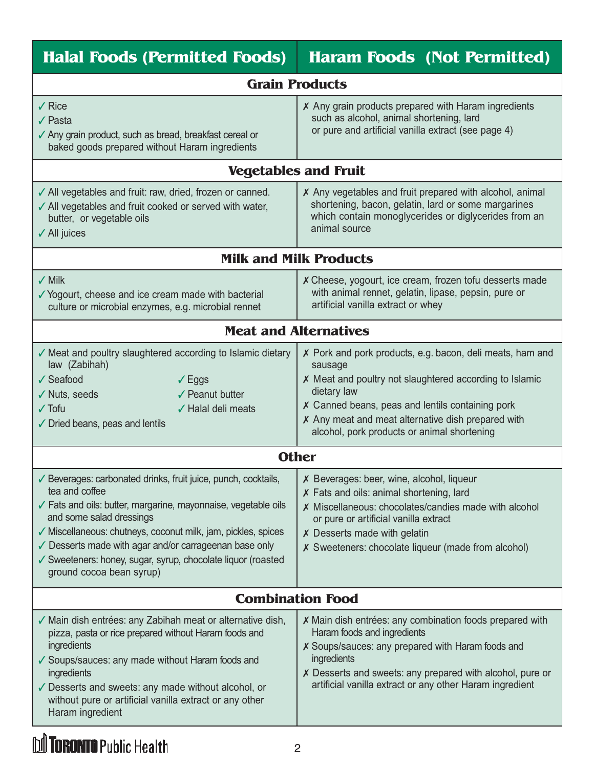| <b>Halal Foods (Permitted Foods)</b>                                                                                                                                                                                                                                                                                                                                                                  | <b>Haram Foods (Not Permitted)</b>                                                                                                                                                                                                                                                                      |  |
|-------------------------------------------------------------------------------------------------------------------------------------------------------------------------------------------------------------------------------------------------------------------------------------------------------------------------------------------------------------------------------------------------------|---------------------------------------------------------------------------------------------------------------------------------------------------------------------------------------------------------------------------------------------------------------------------------------------------------|--|
| <b>Grain Products</b>                                                                                                                                                                                                                                                                                                                                                                                 |                                                                                                                                                                                                                                                                                                         |  |
| $\sqrt{R}$ Rice<br>$\sqrt{\ }$ Pasta<br>✔ Any grain product, such as bread, breakfast cereal or<br>baked goods prepared without Haram ingredients                                                                                                                                                                                                                                                     | X Any grain products prepared with Haram ingredients<br>such as alcohol, animal shortening, lard<br>or pure and artificial vanilla extract (see page 4)                                                                                                                                                 |  |
| <b>Vegetables and Fruit</b>                                                                                                                                                                                                                                                                                                                                                                           |                                                                                                                                                                                                                                                                                                         |  |
| ✓ All vegetables and fruit: raw, dried, frozen or canned.<br>✓ All vegetables and fruit cooked or served with water,<br>butter, or vegetable oils<br>✔ All juices                                                                                                                                                                                                                                     | X Any vegetables and fruit prepared with alcohol, animal<br>shortening, bacon, gelatin, lard or some margarines<br>which contain monoglycerides or diglycerides from an<br>animal source                                                                                                                |  |
| <b>Milk and Milk Products</b>                                                                                                                                                                                                                                                                                                                                                                         |                                                                                                                                                                                                                                                                                                         |  |
| $\sqrt{M}$ lk<br>✔ Yogourt, cheese and ice cream made with bacterial<br>culture or microbial enzymes, e.g. microbial rennet                                                                                                                                                                                                                                                                           | X Cheese, yogourt, ice cream, frozen tofu desserts made<br>with animal rennet, gelatin, lipase, pepsin, pure or<br>artificial vanilla extract or whey                                                                                                                                                   |  |
| <b>Meat and Alternatives</b>                                                                                                                                                                                                                                                                                                                                                                          |                                                                                                                                                                                                                                                                                                         |  |
| ✓ Meat and poultry slaughtered according to Islamic dietary<br>law (Zabihah)<br>$\checkmark$ Seafood<br>$\checkmark$ Eggs<br>✔ Peanut butter<br>√ Nuts, seeds<br>$\sqrt{\ }$ Tofu<br>√ Halal deli meats<br>$\checkmark$ Dried beans, peas and lentils                                                                                                                                                 | X Pork and pork products, e.g. bacon, deli meats, ham and<br>sausage<br>X Meat and poultry not slaughtered according to Islamic<br>dietary law<br>X Canned beans, peas and lentils containing pork<br>X Any meat and meat alternative dish prepared with<br>alcohol, pork products or animal shortening |  |
| <b>Other</b>                                                                                                                                                                                                                                                                                                                                                                                          |                                                                                                                                                                                                                                                                                                         |  |
| ✔ Beverages: carbonated drinks, fruit juice, punch, cocktails,<br>tea and coffee<br>✔ Fats and oils: butter, margarine, mayonnaise, vegetable oils<br>and some salad dressings<br>√ Miscellaneous: chutneys, coconut milk, jam, pickles, spices<br>✓ Desserts made with agar and/or carrageenan base only<br>✔ Sweeteners: honey, sugar, syrup, chocolate liquor (roasted<br>ground cocoa bean syrup) | X Beverages: beer, wine, alcohol, liqueur<br>X Fats and oils: animal shortening, lard<br>X Miscellaneous: chocolates/candies made with alcohol<br>or pure or artificial vanilla extract<br>X Desserts made with gelatin<br>X Sweeteners: chocolate liqueur (made from alcohol)                          |  |
| <b>Combination Food</b>                                                                                                                                                                                                                                                                                                                                                                               |                                                                                                                                                                                                                                                                                                         |  |
| ✓ Main dish entrées: any Zabihah meat or alternative dish,<br>pizza, pasta or rice prepared without Haram foods and<br>ingredients<br>✔ Soups/sauces: any made without Haram foods and<br>ingredients<br>✔ Desserts and sweets: any made without alcohol, or<br>without pure or artificial vanilla extract or any other<br>Haram ingredient                                                           | X Main dish entrées: any combination foods prepared with<br>Haram foods and ingredients<br>X Soups/sauces: any prepared with Haram foods and<br>ingredients<br>X Desserts and sweets: any prepared with alcohol, pure or<br>artificial vanilla extract or any other Haram ingredient                    |  |

## **M.TORONTO** Public Health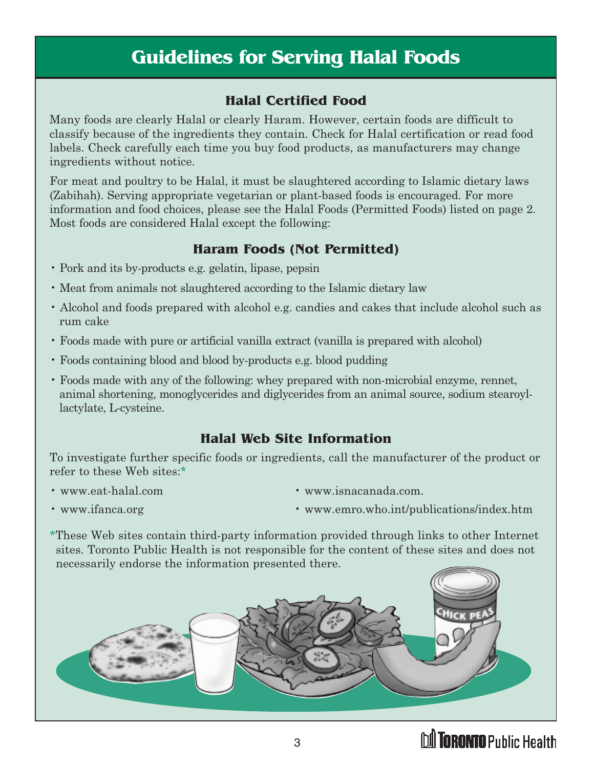## **Guidelines for Serving Halal Foods**

#### **Halal Certified Food**

Many foods are clearly Halal or clearly Haram. However, certain foods are difficult to classify because of the ingredients they contain. Check for Halal certification or read food labels. Check carefully each time you buy food products, as manufacturers may change ingredients without notice.

For meat and poultry to be Halal, it must be slaughtered according to Islamic dietary laws (Zabihah). Serving appropriate vegetarian or plant-based foods is encouraged. For more information and food choices, please see the Halal Foods (Permitted Foods) listed on page 2. Most foods are considered Halal except the following:

#### **Haram Foods (Not Permitted)**

- Pork and its by-products e.g. gelatin, lipase, pepsin
- Meat from animals not slaughtered according to the Islamic dietary law
- Alcohol and foods prepared with alcohol e.g. candies and cakes that include alcohol such as rum cake
- Foods made with pure or artificial vanilla extract (vanilla is prepared with alcohol)
- Foods containing blood and blood by-products e.g. blood pudding
- Foods made with any of the following: whey prepared with non-microbial enzyme, rennet, animal shortening, monoglycerides and diglycerides from an animal source, sodium stearoyllactylate, L-cysteine.

#### **Halal Web Site Information**

To investigate further specific foods or ingredients, call the manufacturer of the product or refer to these Web sites:\*

- 
- www.eat-halal.com www.isnacanada.com.
- 
- www.ifanca.org www.emro.who.int/publications/index.htm

\*These Web sites contain third-party information provided through links to other Internet sites. Toronto Public Health is not responsible for the content of these sites and does not necessarily endorse the information presented there.